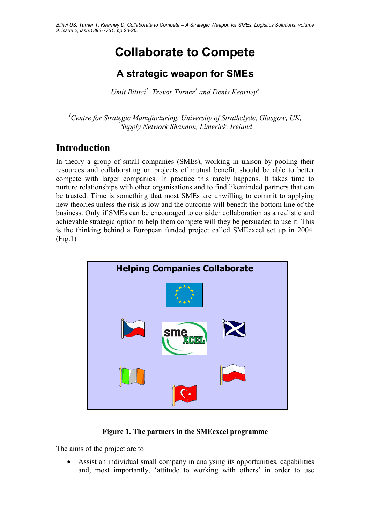# **Collaborate to Compete**

# **A strategic weapon for SMEs**

Umit Bititci<sup>1</sup>, Trevor Turner<sup>1</sup> and Denis Kearney<sup>2</sup>

<sup>1</sup> Centre for Strategic Manufacturing, University of Strathclyde, Glasgow, UK, *2 Supply Network Shannon, Limerick, Ireland* 

# **Introduction**

In theory a group of small companies (SMEs), working in unison by pooling their resources and collaborating on projects of mutual benefit, should be able to better compete with larger companies. In practice this rarely happens. It takes time to nurture relationships with other organisations and to find likeminded partners that can be trusted. Time is something that most SMEs are unwilling to commit to applying new theories unless the risk is low and the outcome will benefit the bottom line of the business. Only if SMEs can be encouraged to consider collaboration as a realistic and achievable strategic option to help them compete will they be persuaded to use it. This is the thinking behind a European funded project called SMEexcel set up in 2004. (Fig.1)



#### **Figure 1. The partners in the SMEexcel programme**

The aims of the project are to

• Assist an individual small company in analysing its opportunities, capabilities and, most importantly, 'attitude to working with others' in order to use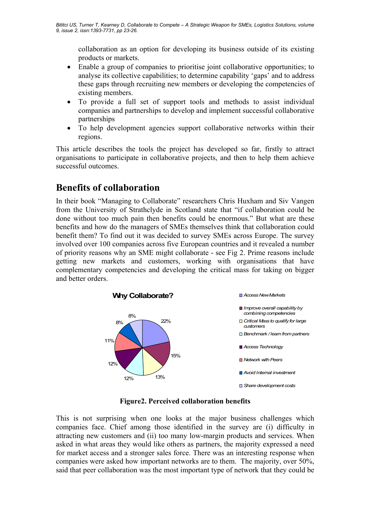collaboration as an option for developing its business outside of its existing products or markets.

- Enable a group of companies to prioritise joint collaborative opportunities; to analyse its collective capabilities; to determine capability 'gaps' and to address these gaps through recruiting new members or developing the competencies of existing members.
- To provide a full set of support tools and methods to assist individual companies and partnerships to develop and implement successful collaborative partnerships
- To help development agencies support collaborative networks within their regions.

This article describes the tools the project has developed so far, firstly to attract organisations to participate in collaborative projects, and then to help them achieve successful outcomes.

## **Benefits of collaboration**

In their book "Managing to Collaborate" researchers Chris Huxham and Siv Vangen from the University of Strathclyde in Scotland state that "if collaboration could be done without too much pain then benefits could be enormous." But what are these benefits and how do the managers of SMEs themselves think that collaboration could benefit them? To find out it was decided to survey SMEs across Europe. The survey involved over 100 companies across five European countries and it revealed a number of priority reasons why an SME might collaborate - see Fig 2. Prime reasons include getting new markets and customers, working with organisations that have complementary competencies and developing the critical mass for taking on bigger and better orders.



#### **Figure2. Perceived collaboration benefits**

This is not surprising when one looks at the major business challenges which companies face. Chief among those identified in the survey are (i) difficulty in attracting new customers and (ii) too many low-margin products and services. When asked in what areas they would like others as partners, the majority expressed a need for market access and a stronger sales force. There was an interesting response when companies were asked how important networks are to them. The majority, over 50%, said that peer collaboration was the most important type of network that they could be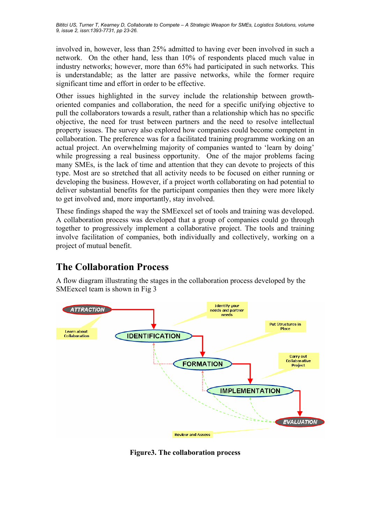involved in, however, less than 25% admitted to having ever been involved in such a network. On the other hand, less than 10% of respondents placed much value in industry networks; however, more than 65% had participated in such networks. This is understandable; as the latter are passive networks, while the former require significant time and effort in order to be effective.

Other issues highlighted in the survey include the relationship between growthoriented companies and collaboration, the need for a specific unifying objective to pull the collaborators towards a result, rather than a relationship which has no specific objective, the need for trust between partners and the need to resolve intellectual property issues. The survey also explored how companies could become competent in collaboration. The preference was for a facilitated training programme working on an actual project. An overwhelming majority of companies wanted to 'learn by doing' while progressing a real business opportunity. One of the major problems facing many SMEs, is the lack of time and attention that they can devote to projects of this type. Most are so stretched that all activity needs to be focused on either running or developing the business. However, if a project worth collaborating on had potential to deliver substantial benefits for the participant companies then they were more likely to get involved and, more importantly, stay involved.

These findings shaped the way the SMEexcel set of tools and training was developed. A collaboration process was developed that a group of companies could go through together to progressively implement a collaborative project. The tools and training involve facilitation of companies, both individually and collectively, working on a project of mutual benefit.

# **The Collaboration Process**

A flow diagram illustrating the stages in the collaboration process developed by the SMEexcel team is shown in Fig 3



**Figure3. The collaboration process**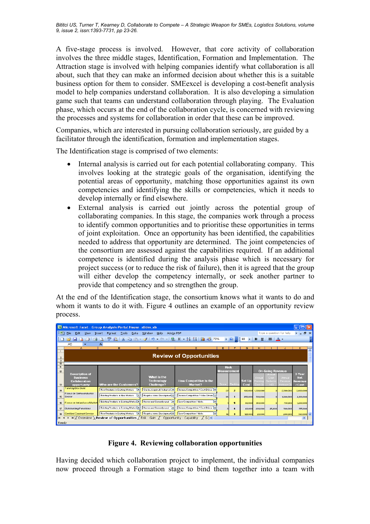A five-stage process is involved. However, that core activity of collaboration involves the three middle stages, Identification, Formation and Implementation. The Attraction stage is involved with helping companies identify what collaboration is all about, such that they can make an informed decision about whether this is a suitable business option for them to consider. SMEexcel is developing a cost-benefit analysis model to help companies understand collaboration. It is also developing a simulation game such that teams can understand collaboration through playing. The Evaluation phase, which occurs at the end of the collaboration cycle, is concerned with reviewing the processes and systems for collaboration in order that these can be improved.

Companies, which are interested in pursuing collaboration seriously, are guided by a facilitator through the identification, formation and implementation stages.

The Identification stage is comprised of two elements:

- Internal analysis is carried out for each potential collaborating company. This involves looking at the strategic goals of the organisation, identifying the potential areas of opportunity, matching those opportunities against its own competencies and identifying the skills or competencies, which it needs to develop internally or find elsewhere.
- External analysis is carried out jointly across the potential group of collaborating companies. In this stage, the companies work through a process to identify common opportunities and to prioritise these opportunities in terms of joint exploitation. Once an opportunity has been identified, the capabilities needed to address that opportunity are determined. The joint competencies of the consortium are assessed against the capabilities required. If an additional competence is identified during the analysis phase which is necessary for project success (or to reduce the risk of failure), then it is agreed that the group will either develop the competency internally, or seek another partner to provide that competency and so strengthen the group.

At the end of the Identification stage, the consortium knows what it wants to do and whom it wants to do it with. Figure 4 outlines an example of an opportunity review process.

| Microsoft Excel - Group Analysis-Portal House-slides.xls                                        |                                                                                                                      |                                                       |                                                  |                                                                                                                                                                                                                                                                 |       |              |                       |                           |                     |                    |                   |   |
|-------------------------------------------------------------------------------------------------|----------------------------------------------------------------------------------------------------------------------|-------------------------------------------------------|--------------------------------------------------|-----------------------------------------------------------------------------------------------------------------------------------------------------------------------------------------------------------------------------------------------------------------|-------|--------------|-----------------------|---------------------------|---------------------|--------------------|-------------------|---|
| ¦l≊i                                                                                            | Type a question for help<br>File<br>Window<br>Adobe PDF<br>Edit<br>Help<br>Format<br>Tools<br>Data<br>View<br>Insert |                                                       |                                                  |                                                                                                                                                                                                                                                                 |       |              |                       |                           |                     | <b>B</b> X         |                   |   |
|                                                                                                 | $\triangleq$                                                                                                         | $\frac{49}{2}$ in $\frac{1}{2}$<br>$\mathbb{R}$<br>D. | 自己・ダリ・ロー                                         | <b>8</b> $\Sigma$ $\rightarrow$ $\frac{3}{4}$ $\downarrow$ $\parallel$ $\parallel$ $\parallel$ $\parallel$ 75% $\rightarrow$ $\parallel$ $\parallel$ $\parallel$ $\parallel$ 10 $\rightarrow$   <b>B</b> $\parallel$   $\equiv$   $\underline{A}$ $\rightarrow$ |       |              |                       |                           |                     |                    |                   |   |
|                                                                                                 | A5                                                                                                                   |                                                       |                                                  |                                                                                                                                                                                                                                                                 |       |              |                       |                           |                     |                    |                   |   |
|                                                                                                 | A                                                                                                                    | $\overline{B}$                                        | C.                                               | n.                                                                                                                                                                                                                                                              | F     | F            | G.                    | н                         |                     |                    | K.                | ∽ |
| $\mathbf{2}$<br>$\overline{\mathbf{3}}$<br>10                                                   | <b>Review of Opportunities</b>                                                                                       |                                                       |                                                  |                                                                                                                                                                                                                                                                 |       |              |                       |                           |                     |                    |                   |   |
| 11                                                                                              |                                                                                                                      | <b>Risk</b><br><b>Measurement</b>                     |                                                  | <b>On-Going Revenue</b>                                                                                                                                                                                                                                         |       |              |                       |                           |                     |                    |                   |   |
| 12                                                                                              | <b>Description of</b>                                                                                                |                                                       |                                                  |                                                                                                                                                                                                                                                                 |       |              |                       |                           | Annua               |                    | 3-Year            |   |
|                                                                                                 | <b>Business</b>                                                                                                      |                                                       | What is the                                      |                                                                                                                                                                                                                                                                 |       |              |                       | Annua                     | Cost                | Annua              | <b>Net</b>        |   |
| 13                                                                                              | Collaboration<br>opportunity                                                                                         | Who are the Customers?                                | <b>Technology</b><br><b>Challenge?</b>           | <b>How Competitive is the</b><br>Market?                                                                                                                                                                                                                        | Score | Rankin       | <b>Set Up</b><br>Cost | <b>Runnin</b><br>Dost III | eductic<br>$n$ (ii) | Revenu<br>Increase | Revenue<br>/ Cost |   |
| 14                                                                                              | TurnKey Box Build                                                                                                    | New Products in Existing Markets                      | Can be Acquired / Adapted T                      | Intense Competition / Cost Driven                                                                                                                                                                                                                               | 27    | $\mathbf{z}$ | 100,000               | 1,500,000                 |                     | 2,500,000          | 3,000,000         |   |
| 15                                                                                              | Focus on Semiconductor<br>Sector                                                                                     | Existing Products in New Markets<br>I۰                | Requires some Development .                      | Intense Competition / Value Driven T.                                                                                                                                                                                                                           | 36    |              | 250,000               | 500,000                   | o.                  | 1,200,000          | 2,100,000         |   |
| 16 <sup>2</sup>                                                                                 | Focus on Ireland as a Market                                                                                         | Existing Products in Existing Markets *.              | Known and Currently used<br>$\blacktriangledown$ | Low Competition / Niche                                                                                                                                                                                                                                         |       | Б            | 80,000                | 350,000                   |                     | 750,000            | 1,200,000         |   |
| 17                                                                                              | <b>Outsourcing Functions</b>                                                                                         | Existing Products in Existing Market                  | Known and Currently used                         | Intense Competition / Cost Driven                                                                                                                                                                                                                               |       |              | 40,000                | 200,000                   | 25,000              | 500,000            | 375,000           |   |
| 18                                                                                              | <b>Certified Contract Service</b>                                                                                    | New Products in Existing Markets<br>l.                | Requires some Development                        | Low Competition / Niche<br>ᆂ                                                                                                                                                                                                                                    | 18    | з            | 125,000               | 20,000                    |                     | 200,000            | 540,000 V         |   |
| $ G $ <<br>H / Overview<br>/ Review of Opportunities<br>Risk - Gain<br>Opportunity - Capability |                                                                                                                      |                                                       |                                                  |                                                                                                                                                                                                                                                                 |       |              |                       |                           |                     |                    |                   |   |
| Ready                                                                                           |                                                                                                                      |                                                       |                                                  |                                                                                                                                                                                                                                                                 |       |              |                       |                           |                     |                    |                   |   |

#### **Figure 4. Reviewing collaboration opportunities**

Having decided which collaboration project to implement, the individual companies now proceed through a Formation stage to bind them together into a team with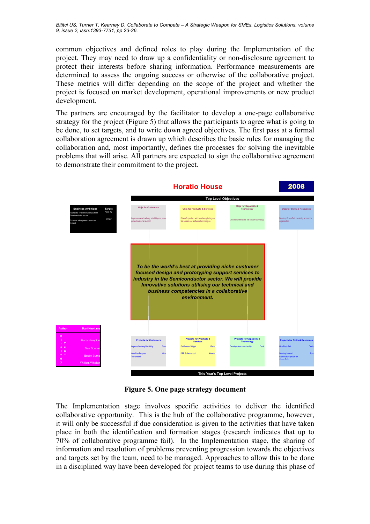*Bititci US, Turner T, Kearney D, Collaborate to Compete – A Strategic Weapon for SMEs, Logistics Solutions, volume 9, issue 2, issn:1393-7731, pp 23-26.* 

common objectives and defined roles to play during the Implementation of the project. They may need to draw up a confidentiality or non-disclosure agreement to protect their interests before sharing information. Performance measurements are determined to assess the ongoing success or otherwise of the collaborative project. These metrics will differ depending on the scope of the project and whether the project is focused on market development, operational improvements or new product development.

The partners are encouraged by the facilitator to develop a one-page collaborative strategy for the project (Figure 5) that allows the participants to agree what is going to be done, to set targets, and to write down agreed objectives. The first pass at a formal collaboration agreement is drawn up which describes the basic rules for managing the collaboration and, most importantly, defines the processes for solving the inevitable problems that will arise. All partners are expected to sign the collaborative agreement to demonstrate their commitment to the project.



**Figure 5. One page strategy document** 

The Implementation stage involves specific activities to deliver the identified collaborative opportunity. This is the hub of the collaborative programme, however, it will only be successful if due consideration is given to the activities that have taken place in both the identification and formation stages (research indicates that up to 70% of collaborative programme fail). In the Implementation stage, the sharing of information and resolution of problems preventing progression towards the objectives and targets set by the team, need to be managed. Approaches to allow this to be done in a disciplined way have been developed for project teams to use during this phase of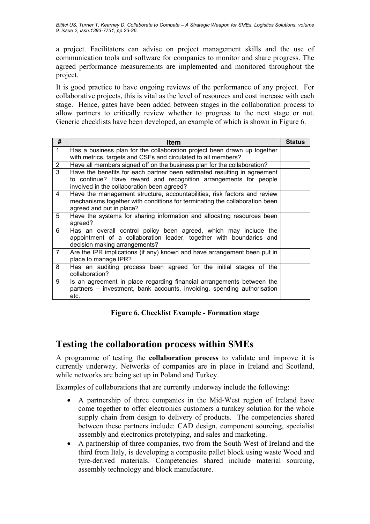a project. Facilitators can advise on project management skills and the use of communication tools and software for companies to monitor and share progress. The agreed performance measurements are implemented and monitored throughout the project.

It is good practice to have ongoing reviews of the performance of any project. For collaborative projects, this is vital as the level of resources and cost increase with each stage. Hence, gates have been added between stages in the collaboration process to allow partners to critically review whether to progress to the next stage or not. Generic checklists have been developed, an example of which is shown in Figure 6.

| #              | Item                                                                                                           | <b>Status</b> |
|----------------|----------------------------------------------------------------------------------------------------------------|---------------|
| $\mathbf{1}$   | Has a business plan for the collaboration project been drawn up together                                       |               |
|                | with metrics, targets and CSFs and circulated to all members?                                                  |               |
| $\overline{2}$ | Have all members signed off on the business plan for the collaboration?                                        |               |
| 3              | Have the benefits for each partner been estimated resulting in agreement                                       |               |
|                | to continue? Have reward and recognition arrangements for people<br>involved in the collaboration been agreed? |               |
| 4              | Have the management structure, accountabilities, risk factors and review                                       |               |
|                | mechanisms together with conditions for terminating the collaboration been                                     |               |
|                | agreed and put in place?                                                                                       |               |
| 5              | Have the systems for sharing information and allocating resources been<br>agreed?                              |               |
| 6              | Has an overall control policy been agreed, which may include the                                               |               |
|                | appointment of a collaboration leader, together with boundaries and<br>decision making arrangements?           |               |
| $\overline{7}$ | Are the IPR implications (if any) known and have arrangement been put in<br>place to manage IPR?               |               |
| 8              | Has an auditing process been agreed for the initial stages of the                                              |               |
|                | collaboration?                                                                                                 |               |
| 9              | Is an agreement in place regarding financial arrangements between the                                          |               |
|                | partners – investment, bank accounts, invoicing, spending authorisation                                        |               |
|                | etc.                                                                                                           |               |

**Figure 6. Checklist Example - Formation stage** 

### **Testing the collaboration process within SMEs**

A programme of testing the **collaboration process** to validate and improve it is currently underway. Networks of companies are in place in Ireland and Scotland, while networks are being set up in Poland and Turkey.

Examples of collaborations that are currently underway include the following:

- A partnership of three companies in the Mid-West region of Ireland have come together to offer electronics customers a turnkey solution for the whole supply chain from design to delivery of products. The competencies shared between these partners include: CAD design, component sourcing, specialist assembly and electronics prototyping, and sales and marketing.
- A partnership of three companies, two from the South West of Ireland and the third from Italy, is developing a composite pallet block using waste Wood and tyre-derived materials. Competencies shared include material sourcing, assembly technology and block manufacture.